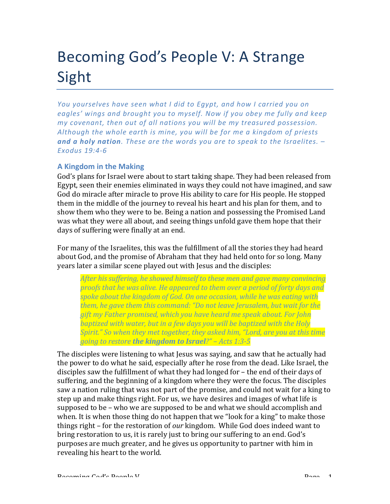# Becoming God's People V: A Strange Sight

*You* yourselves have seen what I did to Egypt, and how I carried you on eagles' wings and brought you to myself. Now if you obey me fully and keep *my* covenant, then out of all nations you will be my treasured possession. Although the whole earth is mine, you will be for me a kingdom of priests and a holy nation. These are the words you are to speak to the Israelites.  $-$ *Exodus 19:4-6*

# **A Kingdom in the Making**

God's plans for Israel were about to start taking shape. They had been released from Egypt, seen their enemies eliminated in ways they could not have imagined, and saw God do miracle after miracle to prove His ability to care for His people. He stopped them in the middle of the journey to reveal his heart and his plan for them, and to show them who they were to be. Being a nation and possessing the Promised Land was what they were all about, and seeing things unfold gave them hope that their days of suffering were finally at an end.

For many of the Israelites, this was the fulfillment of all the stories they had heard about God, and the promise of Abraham that they had held onto for so long. Many years later a similar scene played out with Jesus and the disciples:

*After his suffering, he showed himself to these men and gave many convincing proofs* that he was alive. He appeared to them over a period of forty days and spoke about the kingdom of God. On one occasion, while he was eating with *them, he gave them this command: "Do not leave Jerusalem, but wait for the* gift my Father promised, which you have heard me speak about. For John *baptized with water, but in a few days you will be baptized with the Holy Spirit."* So when they met together, they asked him, "Lord, are you at this time *going to restore the kingdom to Israel?" – Acts 1:3-5* 

The disciples were listening to what Jesus was saying, and saw that he actually had the power to do what he said, especially after he rose from the dead. Like Israel, the disciples saw the fulfillment of what they had longed for  $-$  the end of their days of suffering, and the beginning of a kingdom where they were the focus. The disciples saw a nation ruling that was not part of the promise, and could not wait for a king to step up and make things right. For us, we have desires and images of what life is supposed to be – who we are supposed to be and what we should accomplish and when. It is when those thing do not happen that we "look for a king" to make those things right – for the restoration of *our* kingdom. While God does indeed want to bring restoration to us, it is rarely just to bring our suffering to an end. God's purposes are much greater, and he gives us opportunity to partner with him in revealing his heart to the world.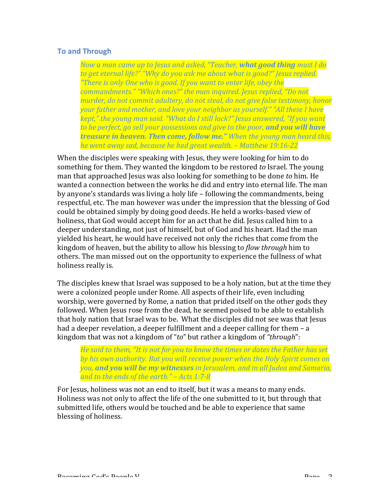# **To and Through**

*Now a man came up to Jesus and asked, "Teacher, what good thing must I do* to get eternal life?" "Why do you ask me about what is good?" Jesus replied. *"There is only One who is good. If you want to enter life, obey the* commandments." "Which ones?" the man inquired. Jesus replied, "Do not *murder, do not commit adultery, do not steal, do not give false testimony, honor your father and mother, and love your neighbor as yourself." "All these I have kept,"* the young man said. "What do I still lack?" Jesus answered, "If you want to be perfect, go sell your possessions and give to the poor, and you will have *treasure in heaven. Then come, follow me." When the young man heard this, he* went away sad, because he had great wealth. – Matthew 19:16-22

When the disciples were speaking with Jesus, they were looking for him to do something for them. They wanted the kingdom to be restored *to* Israel. The young man that approached Jesus was also looking for something to be done *to* him. He wanted a connection between the works he did and entry into eternal life. The man by anyone's standards was living a holy life  $-$  following the commandments, being respectful, etc. The man however was under the impression that the blessing of God could be obtained simply by doing good deeds. He held a works-based view of holiness, that God would accept him for an act that he did. Jesus called him to a deeper understanding, not just of himself, but of God and his heart. Had the man yielded his heart, he would have received not only the riches that come from the kingdom of heaven, but the ability to allow his blessing to *flow through* him to others. The man missed out on the opportunity to experience the fullness of what holiness really is.

The disciples knew that Israel was supposed to be a holy nation, but at the time they were a colonized people under Rome. All aspects of their life, even including worship, were governed by Rome, a nation that prided itself on the other gods they followed. When Jesus rose from the dead, he seemed poised to be able to establish that holy nation that Israel was to be. What the disciples did not see was that Jesus had a deeper revelation, a deeper fulfillment and a deeper calling for them  $- a$ kingdom that was not a kingdom of "*to*" but rather a kingdom of "*through*":

*He said to them, "It is not for you to know the times or dates the Father has set* by his own authority. But you will receive power when the Holy Spirit comes on *you,* **and you will be my witnesses** in Jerusalem, and in all Judea and Samaria, *and to the ends of the earth."* – Acts 1:7-8

For Jesus, holiness was not an end to itself, but it was a means to many ends. Holiness was not only to affect the life of the one submitted to it, but through that submitted life, others would be touched and be able to experience that same blessing of holiness.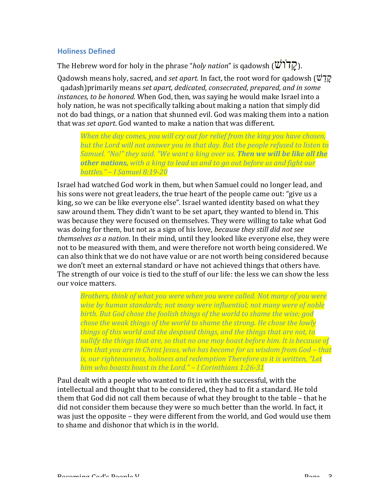# **Holiness Defined**

The Hebrew word for holy in the phrase "*holy nation*" is qadowsh ( $\mathbf{W}$  $\mathbf{Y}$ ).

Qadowsh means holy, sacred, and *set apart*. In fact, the root word for gadowsh ( $\ddot{v}$ קלט qadash)primarily means set apart, dedicated, consecrated, prepared, and in some *instances, to be honored.* When God, then, was saying he would make Israel into a holy nation, he was not specifically talking about making a nation that simply did not do bad things, or a nation that shunned evil. God was making them into a nation that was *set apart*. God wanted to make a nation that was different.

*When the day comes, you will cry out for relief from the king you have chosen,* but the Lord will not answer you in that day. But the people refused to listen to *Samuel.* "No!" they said. "We want a king over us. **Then we will be like all the** *other nations, with a king to lead us and to go out before us and fight our battles." – I Samuel 8:19-20*

Israel had watched God work in them, but when Samuel could no longer lead, and his sons were not great leaders, the true heart of the people came out: "give us a king, so we can be like everyone else". Israel wanted identity based on what they saw around them. They didn't want to be set apart, they wanted to blend in. This was because they were focused on themselves. They were willing to take what God was doing for them, but not as a sign of his love, *because they still did not see themselves as a nation*. In their mind, until they looked like everyone else, they were not to be measured with them, and were therefore not worth being considered. We can also think that we do not have value or are not worth being considered because we don't meet an external standard or have not achieved things that others have. The strength of our voice is tied to the stuff of our life: the less we can show the less our voice matters.

*Brothers, think of what you were when you were called. Not many of you were wise by human standards; not many were influential; not many were of noble birth.* But God chose the foolish things of the world to shame the wise; god *chose the weak things of the world to shame the strong. He chose the lowly things of this world and the despised things, and the things that are not, to nullify* the things that are, so that no one may boast before him. It is because of *him* that you are in Christ Jesus, who has become for us wisdom from God – that is, our righteousness, holiness and redemption Therefore as it is written, "Let *him* who boasts boast in the Lord." - I Corinthians 1:26-31

Paul dealt with a people who wanted to fit in with the successful, with the intellectual and thought that to be considered, they had to fit a standard. He told them that God did not call them because of what they brought to the table – that he did not consider them because they were so much better than the world. In fact, it was just the opposite – they were different from the world, and God would use them to shame and dishonor that which is in the world.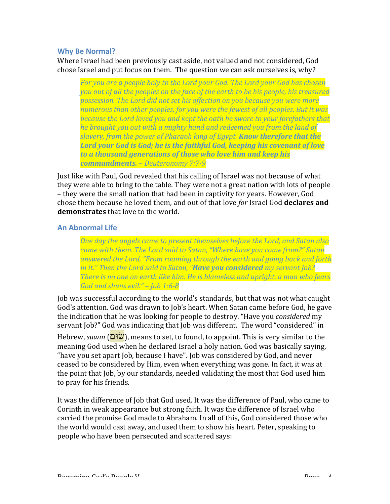### **Why Be Normal?**

Where Israel had been previously cast aside, not valued and not considered, God chose Israel and put focus on them. The question we can ask ourselves is, why?

For you are a people holy to the Lord your God. The Lord your God has chosen *you* out of all the peoples on the face of the earth to be his people, his treasured *possession. The Lord did not set his affection on you because you were more* numerous than other peoples, for you were the fewest of all peoples. But it was *because the Lord loved you and kept the oath he swore to your forefathers that he brought you out with a mighty hand and redeemed you from the land of slavery, from the power of Pharaoh king of Egypt. Know therefore that the* **Lord your God is God; he is the faithful God, keeping his covenant of love** to a thousand generations of those who love him and keep his *commandments. – Deuteronomy 7:7-9*

Just like with Paul, God revealed that his calling of Israel was not because of what they were able to bring to the table. They were not a great nation with lots of people – they were the small nation that had been in captivity for years. However, God chose them because he loved them, and out of that love *for* Israel God **declares and demonstrates** that love to the world.

#### **An Abnormal Life**

*One day the angels came to present themselves before the Lord, and Satan also came with them. The Lord said to Satan, "Where have you come from?" Satan answered* the Lord, "From roaming through the earth and going back and forth *in it."* Then the Lord said to Satan, "**Have you considered** my servant Job? *There is no one on earth like him. He is blameless and upright, a man who fears God and shuns evil." – Job 1:6-8*

Job was successful according to the world's standards, but that was not what caught God's attention. God was drawn to Job's heart. When Satan came before God, he gave the indication that he was looking for people to destroy. "Have you *considered* my servant Job?" God was indicating that Job was different. The word "considered" in Hebrew, *suwm* (**שׂוּם)**, means to set, to found, to appoint. This is very similar to the meaning God used when he declared Israel a holy nation. God was basically saying, "have you set apart Job, because I have". Job was considered by God, and never ceased to be considered by Him, even when everything was gone. In fact, it was at the point that Job, by our standards, needed validating the most that God used him to pray for his friends.

It was the difference of Job that God used. It was the difference of Paul, who came to Corinth in weak appearance but strong faith. It was the difference of Israel who carried the promise God made to Abraham. In all of this, God considered those who the world would cast away, and used them to show his heart. Peter, speaking to people who have been persecuted and scattered says: